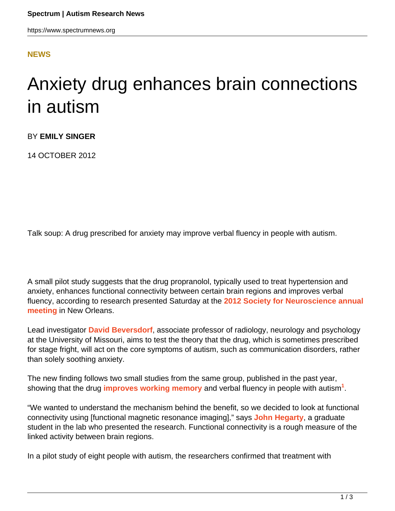## **[NEWS](HTTPS://WWW.SPECTRUMNEWS.ORG/NEWS/)**

## Anxiety drug enhances brain connections in autism

BY **EMILY SINGER**

14 OCTOBER 2012

Talk soup: A drug prescribed for anxiety may improve verbal fluency in people with autism.

A small pilot study suggests that the drug propranolol, typically used to treat hypertension and anxiety, enhances functional connectivity between certain brain regions and improves verbal fluency, according to research presented Saturday at the **[2012 Society for Neuroscience annual](https://www.spectrumnews.org/conference-news/2012/society-for-neuroscience-2012) [meeting](https://www.spectrumnews.org/conference-news/2012/society-for-neuroscience-2012)** in New Orleans.

Lead investigator **[David Beversdorf](http://psychology.missouri.edu/beversdorfd)**, associate professor of radiology, neurology and psychology at the University of Missouri, aims to test the theory that the drug, which is sometimes prescribed for stage fright, will act on the core symptoms of autism, such as communication disorders, rather than solely soothing anxiety.

The new finding follows two small studies from the same group, published in the past year, showing that the drug **[improves working memory](../../../in-brief/2012/cognition-and-behavior-drug-improves-memory-in-autism)** and verbal fluency in people with autism**<sup>1</sup>** .

"We wanted to understand the mechanism behind the benefit, so we decided to look at functional connectivity using [functional magnetic resonance imaging]," says **[John Hegarty](http://radiology.missouri.edu/radWeb/beversdorfLab/profile/hegarty_profile.htm)**, a graduate student in the lab who presented the research. Functional connectivity is a rough measure of the linked activity between brain regions.

In a pilot study of eight people with autism, the researchers confirmed that treatment with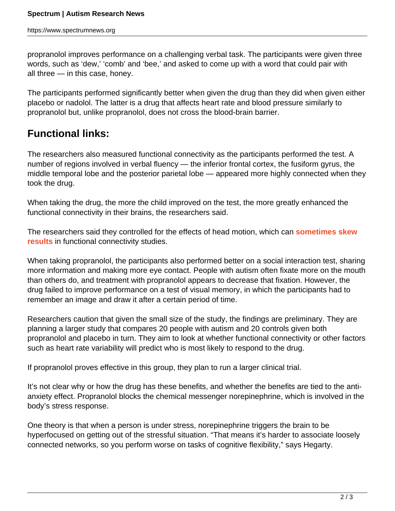propranolol improves performance on a challenging verbal task. The participants were given three words, such as 'dew,' 'comb' and 'bee,' and asked to come up with a word that could pair with all three — in this case, honey.

The participants performed significantly better when given the drug than they did when given either placebo or nadolol. The latter is a drug that affects heart rate and blood pressure similarly to propranolol but, unlike propranolol, does not cross the blood-brain barrier.

## **Functional links:**

The researchers also measured functional connectivity as the participants performed the test. A number of regions involved in verbal fluency — the inferior frontal cortex, the fusiform gyrus, the middle temporal lobe and the posterior parietal lobe — appeared more highly connected when they took the drug.

When taking the drug, the more the child improved on the test, the more greatly enhanced the functional connectivity in their brains, the researchers said.

The researchers said they controlled for the effects of head motion, which can **[sometimes skew](../1%20-%20For%20AM/sfari.org/news-and-opinion/news/2012/movement-during-brain-scans-may-lead-to-spurious-patterns) [results](../1%20-%20For%20AM/sfari.org/news-and-opinion/news/2012/movement-during-brain-scans-may-lead-to-spurious-patterns)** in functional connectivity studies.

When taking propranolol, the participants also performed better on a social interaction test, sharing more information and making more eye contact. People with autism often fixate more on the mouth than others do, and treatment with propranolol appears to decrease that fixation. However, the drug failed to improve performance on a test of visual memory, in which the participants had to remember an image and draw it after a certain period of time.

Researchers caution that given the small size of the study, the findings are preliminary. They are planning a larger study that compares 20 people with autism and 20 controls given both propranolol and placebo in turn. They aim to look at whether functional connectivity or other factors such as heart rate variability will predict who is most likely to respond to the drug.

If propranolol proves effective in this group, they plan to run a larger clinical trial.

It's not clear why or how the drug has these benefits, and whether the benefits are tied to the antianxiety effect. Propranolol blocks the chemical messenger norepinephrine, which is involved in the body's stress response.

One theory is that when a person is under stress, norepinephrine triggers the brain to be hyperfocused on getting out of the stressful situation. "That means it's harder to associate loosely connected networks, so you perform worse on tasks of cognitive flexibility," says Hegarty.